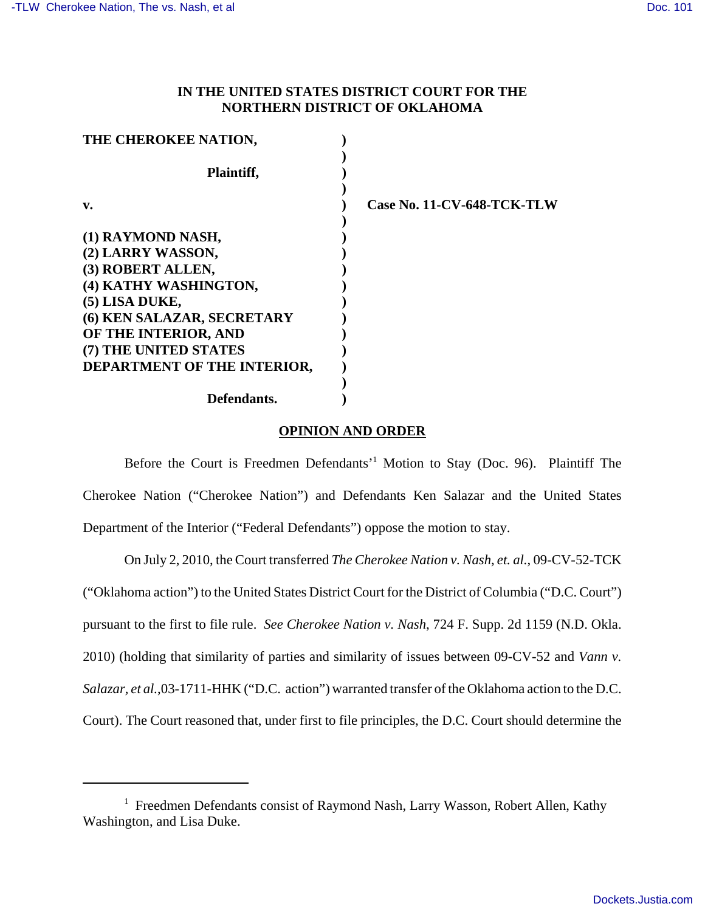## **IN THE UNITED STATES DISTRICT COURT FOR THE NORTHERN DISTRICT OF OKLAHOMA**

| THE CHEROKEE NATION,                                 |                            |
|------------------------------------------------------|----------------------------|
| Plaintiff,                                           |                            |
| v.                                                   | Case No. 11-CV-648-TCK-TLW |
| (1) RAYMOND NASH,                                    |                            |
| (2) LARRY WASSON,<br>(3) ROBERT ALLEN,               |                            |
| (4) KATHY WASHINGTON,                                |                            |
| (5) LISA DUKE,<br>(6) KEN SALAZAR, SECRETARY         |                            |
| OF THE INTERIOR, AND                                 |                            |
| (7) THE UNITED STATES<br>DEPARTMENT OF THE INTERIOR, |                            |
|                                                      |                            |
| Defendants.                                          |                            |

## **OPINION AND ORDER**

Before the Court is Freedmen Defendants'<sup>1</sup> Motion to Stay (Doc. 96). Plaintiff The Cherokee Nation ("Cherokee Nation") and Defendants Ken Salazar and the United States Department of the Interior ("Federal Defendants") oppose the motion to stay.

On July 2, 2010, the Court transferred *The Cherokee Nation v. Nash*, *et. al.*, 09-CV-52-TCK ("Oklahoma action") to the United States District Court for the District of Columbia ("D.C. Court") pursuant to the first to file rule. *See Cherokee Nation v. Nash*, 724 F. Supp. 2d 1159 (N.D. Okla. 2010) (holding that similarity of parties and similarity of issues between 09-CV-52 and *Vann v. Salazar, et al.*,03-1711-HHK ("D.C. action") warranted transfer of the Oklahoma action to the D.C. Court). The Court reasoned that, under first to file principles, the D.C. Court should determine the

<sup>&</sup>lt;sup>1</sup> Freedmen Defendants consist of Raymond Nash, Larry Wasson, Robert Allen, Kathy Washington, and Lisa Duke.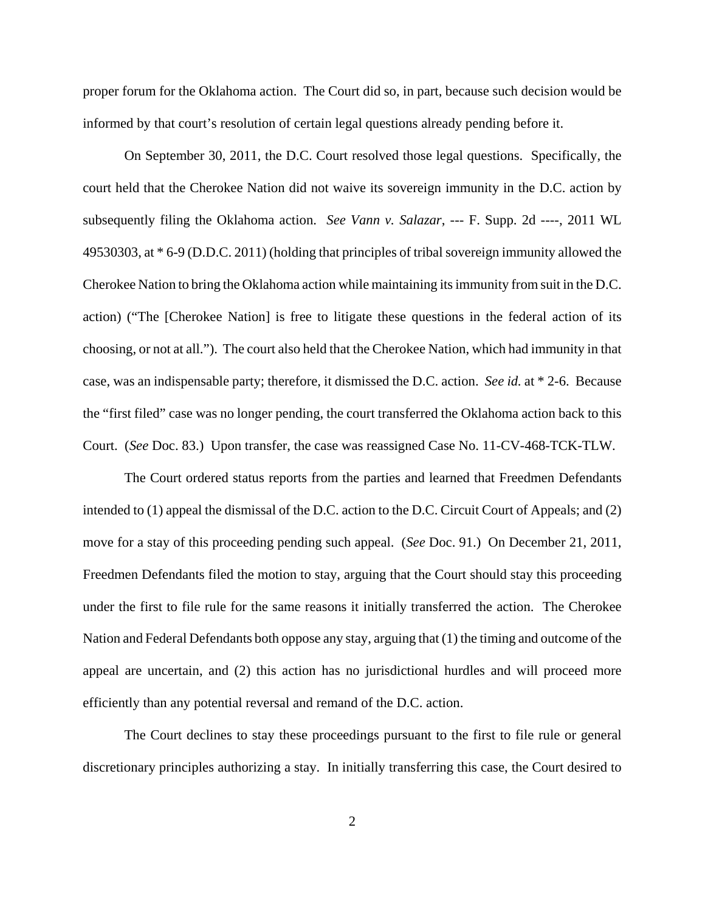proper forum for the Oklahoma action. The Court did so, in part, because such decision would be informed by that court's resolution of certain legal questions already pending before it.

On September 30, 2011, the D.C. Court resolved those legal questions. Specifically, the court held that the Cherokee Nation did not waive its sovereign immunity in the D.C. action by subsequently filing the Oklahoma action. *See Vann v. Salazar*, --- F. Supp. 2d ----, 2011 WL 49530303, at \* 6-9 (D.D.C. 2011) (holding that principles of tribal sovereign immunity allowed the Cherokee Nation to bring the Oklahoma action while maintaining its immunity from suit in the D.C. action) ("The [Cherokee Nation] is free to litigate these questions in the federal action of its choosing, or not at all."). The court also held that the Cherokee Nation, which had immunity in that case, was an indispensable party; therefore, it dismissed the D.C. action. *See id.* at \* 2-6. Because the "first filed" case was no longer pending, the court transferred the Oklahoma action back to this Court. (*See* Doc. 83.) Upon transfer, the case was reassigned Case No. 11-CV-468-TCK-TLW.

The Court ordered status reports from the parties and learned that Freedmen Defendants intended to (1) appeal the dismissal of the D.C. action to the D.C. Circuit Court of Appeals; and (2) move for a stay of this proceeding pending such appeal. (*See* Doc. 91.) On December 21, 2011, Freedmen Defendants filed the motion to stay, arguing that the Court should stay this proceeding under the first to file rule for the same reasons it initially transferred the action. The Cherokee Nation and Federal Defendants both oppose any stay, arguing that (1) the timing and outcome of the appeal are uncertain, and (2) this action has no jurisdictional hurdles and will proceed more efficiently than any potential reversal and remand of the D.C. action.

The Court declines to stay these proceedings pursuant to the first to file rule or general discretionary principles authorizing a stay. In initially transferring this case, the Court desired to